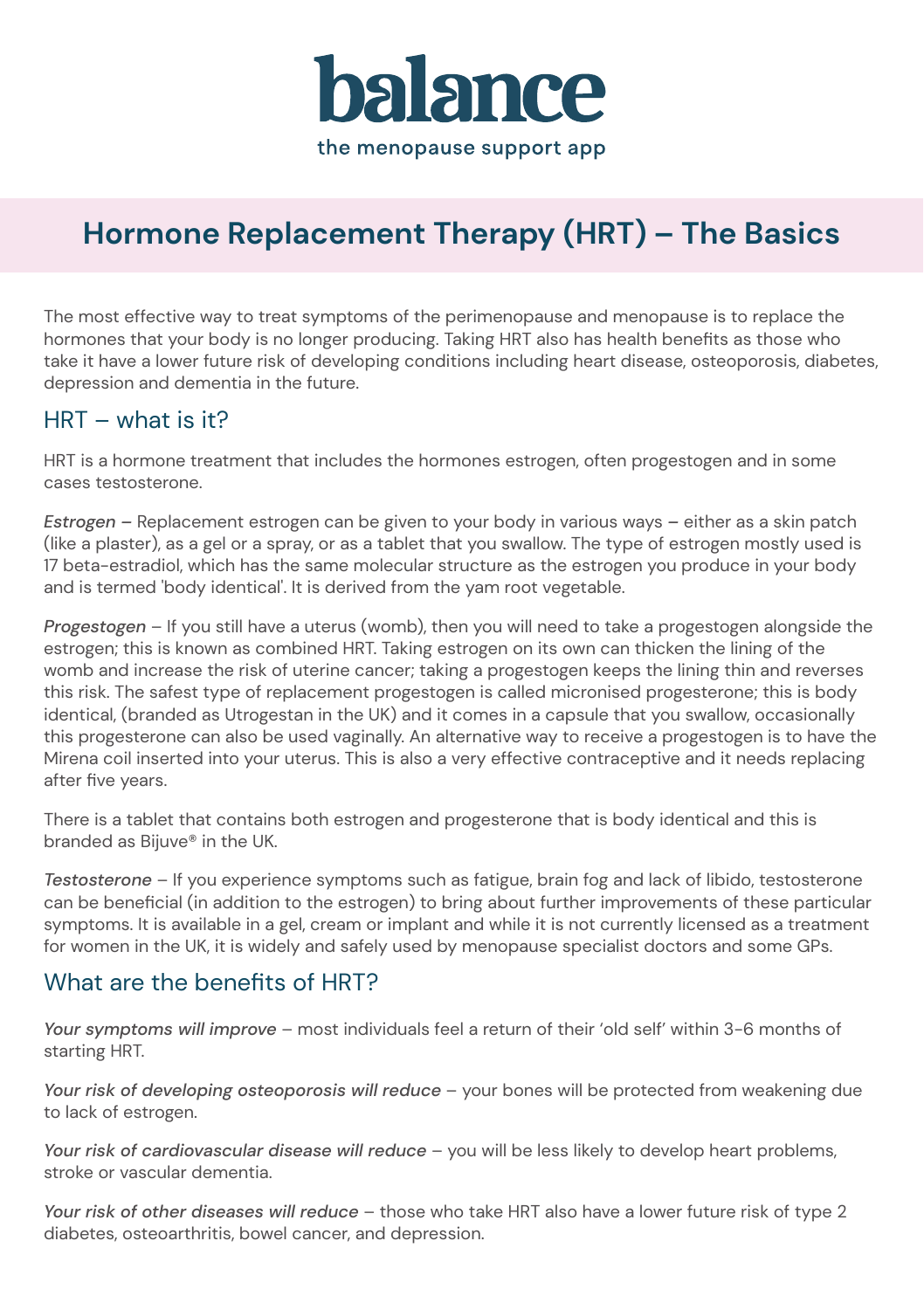

# **Hormone Replacement Therapy (HRT) – The Basics**

The most effective way to treat symptoms of the perimenopause and menopause is to replace the hormones that your body is no longer producing. Taking HRT also has health benefits as those who take it have a lower future risk of developing conditions including heart disease, osteoporosis, diabetes, depression and dementia in the future.

#### HRT – what is it?

HRT is a hormone treatment that includes the hormones estrogen, often progestogen and in some cases testosterone.

*Estrogen –* Replacement estrogen can be given to your body in various ways *–* either as a skin patch (like a plaster), as a gel or a spray, or as a tablet that you swallow. The type of estrogen mostly used is 17 beta-estradiol, which has the same molecular structure as the estrogen you produce in your body and is termed 'body identical'. It is derived from the yam root vegetable.

*Progestogen* – If you still have a uterus (womb), then you will need to take a progestogen alongside the estrogen; this is known as combined HRT. Taking estrogen on its own can thicken the lining of the womb and increase the risk of uterine cancer; taking a progestogen keeps the lining thin and reverses this risk. The safest type of replacement progestogen is called micronised progesterone; this is body identical, (branded as Utrogestan in the UK) and it comes in a capsule that you swallow, occasionally this progesterone can also be used vaginally. An alternative way to receive a progestogen is to have the Mirena coil inserted into your uterus. This is also a very effective contraceptive and it needs replacing after five years.

There is a tablet that contains both estrogen and progesterone that is body identical and this is branded as Bijuve® in the UK.

*Testosterone* – If you experience symptoms such as fatigue, brain fog and lack of libido, testosterone can be beneficial (in addition to the estrogen) to bring about further improvements of these particular symptoms. It is available in a gel, cream or implant and while it is not currently licensed as a treatment for women in the UK, it is widely and safely used by menopause specialist doctors and some GPs.

#### What are the benefits of HRT?

*Your symptoms will improve* – most individuals feel a return of their 'old self' within 3-6 months of starting HRT.

*Your risk of developing osteoporosis will reduce* – your bones will be protected from weakening due to lack of estrogen.

*Your risk of cardiovascular disease will reduce* – you will be less likely to develop heart problems, stroke or vascular dementia.

*Your risk of other diseases will reduce* – those who take HRT also have a lower future risk of type 2 diabetes, osteoarthritis, bowel cancer, and depression.